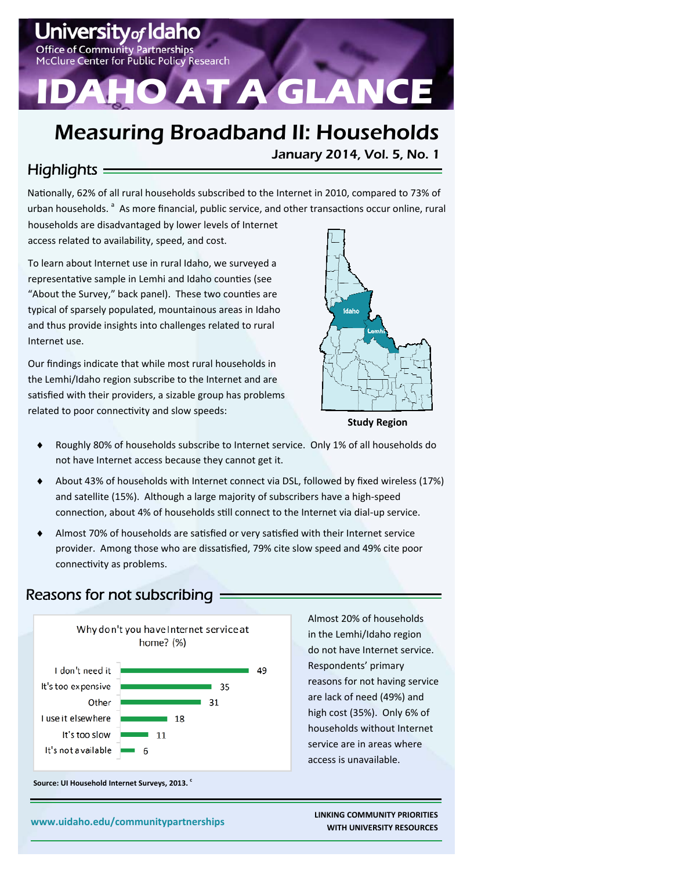# ItVof IO **Office of Community Partnerships** lure Center for Public Policy Research **AT A GLANCE**

# Measuring Broadband II: Households

### $H$ ighlights  $=$

Nationally, 62% of all rural households subscribed to the Internet in 2010, compared to 73% of urban households.<sup>a</sup> As more financial, public service, and other transactions occur online, rural

households are disadvantaged by lower levels of Internet access related to availability, speed, and cost.

To learn about Internet use in rural Idaho, we surveyed a representative sample in Lemhi and Idaho counties (see "About the Survey," back panel). These two counties are typical of sparsely populated, mountainous areas in Idaho and thus provide insights into challenges related to rural Internet use.

Our findings indicate that while most rural households in the Lemhi/Idaho region subscribe to the Internet and are satisfied with their providers, a sizable group has problems related to poor connectivity and slow speeds:



January 2014, Vol. 5, No. 1

**Study Region** 

- Roughly 80% of households subscribe to Internet service. Only 1% of all households do not have Internet access because they cannot get it.
- About 43% of households with Internet connect via DSL, followed by fixed wireless (17%) and satellite (15%). Although a large majority of subscribers have a high‐speed connection, about 4% of households still connect to the Internet via dial-up service.
- Almost 70% of households are satisfied or very satisfied with their Internet service provider. Among those who are dissatisfied, 79% cite slow speed and 49% cite poor connectivity as problems.

#### Reasons for not subscribing



Source: UI Household Internet Surveys, 2013.

Almost 20% of households in the Lemhi/Idaho region do not have Internet service. Respondents' primary reasons for not having service are lack of need (49%) and high cost (35%). Only 6% of households without Internet service are in areas where access is unavailable.

 **www.uidaho.edu/communitypartnerships LINKING COMMUNITY PRIORITIES WITH UNIVERSITY RESOURCES**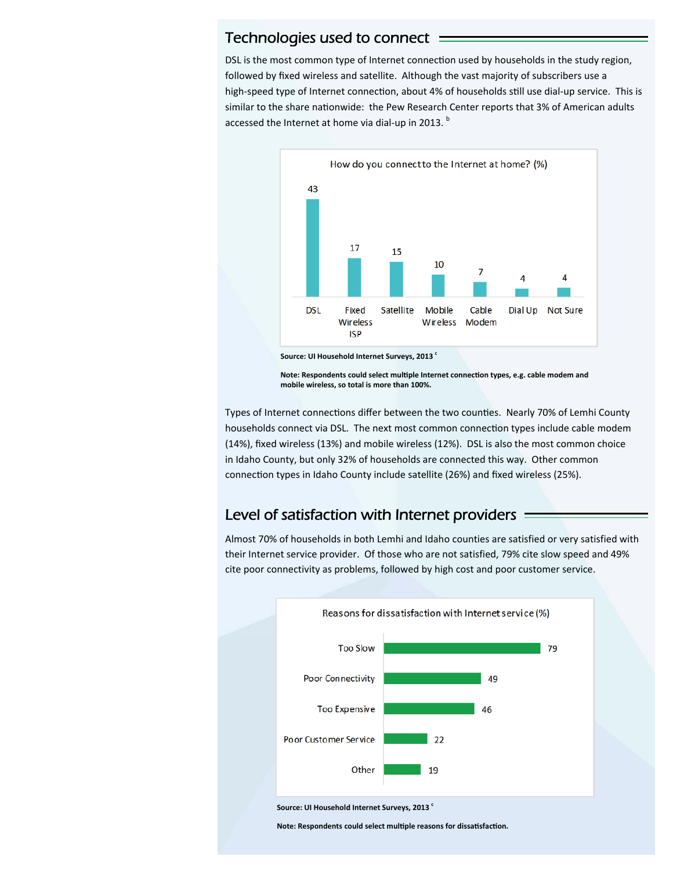#### Technologies used to connect

DSL is the most common type of Internet connection used by households in the study region, followed by fixed wireless and satellite. Although the vast majority of subscribers use a high-speed type of Internet connection, about 4% of households still use dial-up service. This is similar to the share nationwide: the Pew Research Center reports that 3% of American adults accessed the Internet at home via dial-up in 2013.  $^{\rm b}$ 



**Note: Respondents could select mulƟple Internet connecƟon types, e.g. cable modem and mobile wireless, so total is more than 100%.** 

Types of Internet connections differ between the two counties. Nearly 70% of Lemhi County households connect via DSL. The next most common connection types include cable modem (14%), fixed wireless (13%) and mobile wireless (12%). DSL is also the most common choice in Idaho County, but only 32% of households are connected this way. Other common connection types in Idaho County include satellite (26%) and fixed wireless (25%).

#### Level of satisfaction with Internet providers

Almost 70% of households in both Lemhi and Idaho counties are satisfied or very satisfied with their Internet service provider. Of those who are not satisfied, 79% cite slow speed and 49% cite poor connectivity as problems, followed by high cost and poor customer service.



Source: UI Household Internet Surveys, 2013<sup>c</sup>

**Note: Respondents could select multiple reasons for dissatisfaction.**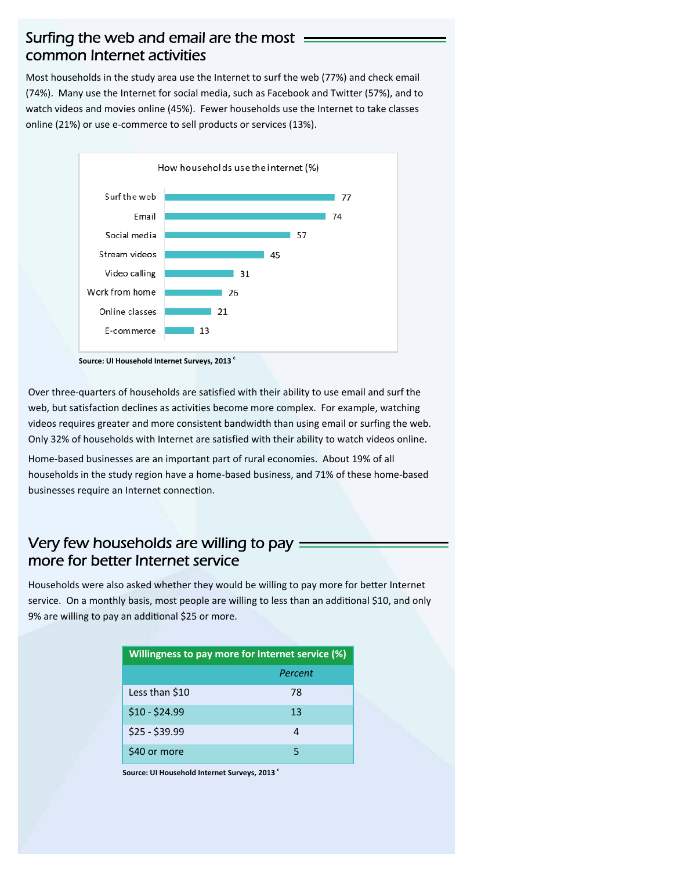#### Surfing the web and email are the most = common Internet activities

Most households in the study area use the Internet to surf the web (77%) and check email (74%). Many use the Internet for social media, such as Facebook and Twitter (57%), and to watch videos and movies online (45%). Fewer households use the Internet to take classes online (21%) or use e‐commerce to sell products or services (13%).



Source: UI Household Internet Surveys, 2013<sup>c</sup>

Over three‐quarters of households are satisfied with their ability to use email and surf the web, but satisfaction declines as activities become more complex. For example, watching videos requires greater and more consistent bandwidth than using email or surfing the web. Only 32% of households with Internet are satisfied with their ability to watch videos online.

Home-based businesses are an important part of rural economies. About 19% of all households in the study region have a home‐based business, and 71% of these home‐based businesses require an Internet connection.

#### Very few households are willing to pay  $=$ more for better Internet service

Households were also asked whether they would be willing to pay more for better Internet service. On a monthly basis, most people are willing to less than an additional \$10, and only 9% are willing to pay an additional \$25 or more.

| Willingness to pay more for Internet service (%) |         |  |
|--------------------------------------------------|---------|--|
|                                                  | Percent |  |
| Less than \$10                                   | 78      |  |
| $$10 - $24.99$                                   | 13      |  |
| $$25 - $39.99$                                   | 4       |  |
| \$40 or more                                     | 5       |  |

**Source: UI Household Internet Surveys, 2013**